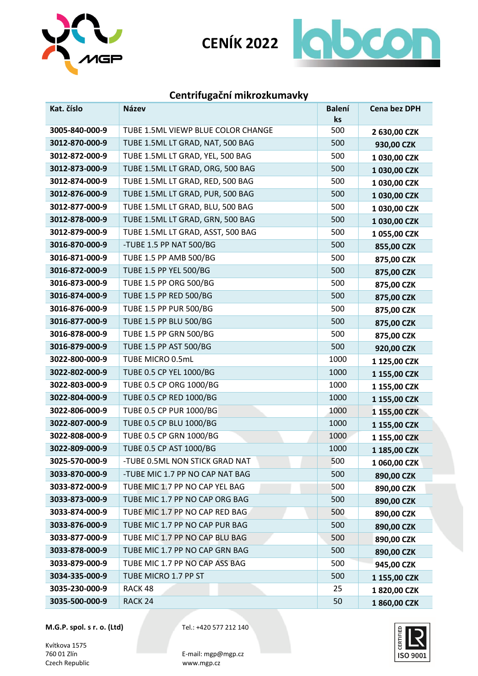



# **Centrifugační mikrozkumavky**

| Kat. číslo     | <b>Název</b>                       | <b>Balení</b><br>ks | <b>Cena bez DPH</b> |
|----------------|------------------------------------|---------------------|---------------------|
| 3005-840-000-9 | TUBE 1.5ML VIEWP BLUE COLOR CHANGE | 500                 | 2 630,00 CZK        |
| 3012-870-000-9 | TUBE 1.5ML LT GRAD, NAT, 500 BAG   | 500                 | 930,00 CZK          |
| 3012-872-000-9 | TUBE 1.5ML LT GRAD, YEL, 500 BAG   | 500                 | 1 030,00 CZK        |
| 3012-873-000-9 | TUBE 1.5ML LT GRAD, ORG, 500 BAG   | 500                 | 1 030,00 CZK        |
| 3012-874-000-9 | TUBE 1.5ML LT GRAD, RED, 500 BAG   | 500                 | 1 030,00 CZK        |
| 3012-876-000-9 | TUBE 1.5ML LT GRAD, PUR, 500 BAG   | 500                 | 1 030,00 CZK        |
| 3012-877-000-9 | TUBE 1.5ML LT GRAD, BLU, 500 BAG   | 500                 | 1 030,00 CZK        |
| 3012-878-000-9 | TUBE 1.5ML LT GRAD, GRN, 500 BAG   | 500                 | 1 030,00 CZK        |
| 3012-879-000-9 | TUBE 1.5ML LT GRAD, ASST, 500 BAG  | 500                 | 1055,00 CZK         |
| 3016-870-000-9 | -TUBE 1.5 PP NAT 500/BG            | 500                 | 855,00 CZK          |
| 3016-871-000-9 | TUBE 1.5 PP AMB 500/BG             | 500                 | 875,00 CZK          |
| 3016-872-000-9 | TUBE 1.5 PP YEL 500/BG             | 500                 | 875,00 CZK          |
| 3016-873-000-9 | TUBE 1.5 PP ORG 500/BG             | 500                 | 875,00 CZK          |
| 3016-874-000-9 | TUBE 1.5 PP RED 500/BG             | 500                 | 875,00 CZK          |
| 3016-876-000-9 | TUBE 1.5 PP PUR 500/BG             | 500                 | 875,00 CZK          |
| 3016-877-000-9 | TUBE 1.5 PP BLU 500/BG             | 500                 | 875,00 CZK          |
| 3016-878-000-9 | TUBE 1.5 PP GRN 500/BG             | 500                 | 875,00 CZK          |
| 3016-879-000-9 | TUBE 1.5 PP AST 500/BG             | 500                 | 920,00 CZK          |
| 3022-800-000-9 | TUBE MICRO 0.5mL                   | 1000                | 1 125,00 CZK        |
| 3022-802-000-9 | TUBE 0.5 CP YEL 1000/BG            | 1000                | 1 155,00 CZK        |
| 3022-803-000-9 | TUBE 0.5 CP ORG 1000/BG            | 1000                | 1 155,00 CZK        |
| 3022-804-000-9 | TUBE 0.5 CP RED 1000/BG            | 1000                | 1 155,00 CZK        |
| 3022-806-000-9 | TUBE 0.5 CP PUR 1000/BG            | 1000                | 1 155,00 CZK        |
| 3022-807-000-9 | TUBE 0.5 CP BLU 1000/BG            | 1000                | 1 155,00 CZK        |
| 3022-808-000-9 | TUBE 0.5 CP GRN 1000/BG            | 1000                | 1 155,00 CZK        |
| 3022-809-000-9 | TUBE 0.5 CP AST 1000/BG            | 1000                | 1 185,00 CZK        |
| 3025-570-000-9 | -TUBE 0.5ML NON STICK GRAD NAT     | 500                 | 1 060,00 CZK        |
| 3033-870-000-9 | -TUBE MIC 1.7 PP NO CAP NAT BAG    | 500                 | 890,00 CZK          |
| 3033-872-000-9 | TUBE MIC 1.7 PP NO CAP YEL BAG     | 500                 | 890,00 CZK          |
| 3033-873-000-9 | TUBE MIC 1.7 PP NO CAP ORG BAG     | 500                 | 890,00 CZK          |
| 3033-874-000-9 | TUBE MIC 1.7 PP NO CAP RED BAG     | 500                 | 890,00 CZK          |
| 3033-876-000-9 | TUBE MIC 1.7 PP NO CAP PUR BAG     | 500                 | 890,00 CZK          |
| 3033-877-000-9 | TUBE MIC 1.7 PP NO CAP BLU BAG     | 500                 | 890,00 CZK          |
| 3033-878-000-9 | TUBE MIC 1.7 PP NO CAP GRN BAG     | 500                 | 890,00 CZK          |
| 3033-879-000-9 | TUBE MIC 1.7 PP NO CAP ASS BAG     | 500                 | 945,00 CZK          |
| 3034-335-000-9 | TUBE MICRO 1.7 PP ST               | 500                 | 1 155,00 CZK        |
| 3035-230-000-9 | RACK 48                            | 25                  | 1820,00 CZK         |
| 3035-500-000-9 | RACK <sub>24</sub>                 | 50                  | 1860,00 CZK         |

**M.G.P. spol. s r. o. (Ltd)** Tel.: +420 577 212 140

Kvítkova 1575<br>760 01 Zlín Czech Republic

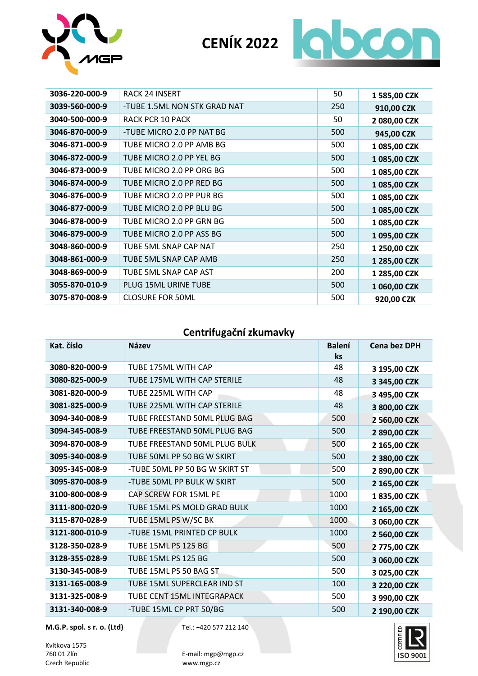



| 3036-220-000-9 | <b>RACK 24 INSERT</b>        | 50  | 1 585,00 CZK |
|----------------|------------------------------|-----|--------------|
| 3039-560-000-9 | -TUBE 1.5ML NON STK GRAD NAT | 250 | 910,00 CZK   |
| 3040-500-000-9 | RACK PCR 10 PACK             | 50  | 2 080,00 CZK |
| 3046-870-000-9 | -TUBE MICRO 2.0 PP NAT BG    | 500 | 945,00 CZK   |
| 3046-871-000-9 | TUBE MICRO 2.0 PP AMB BG     | 500 | 1 085,00 CZK |
| 3046-872-000-9 | TUBE MICRO 2.0 PP YEL BG     | 500 | 1 085,00 CZK |
| 3046-873-000-9 | TUBE MICRO 2.0 PP ORG BG     | 500 | 1 085,00 CZK |
| 3046-874-000-9 | TUBE MICRO 2.0 PP RED BG     | 500 | 1 085,00 CZK |
| 3046-876-000-9 | TUBE MICRO 2.0 PP PUR BG     | 500 | 1 085,00 CZK |
| 3046-877-000-9 | TUBE MICRO 2.0 PP BLU BG     | 500 | 1 085,00 CZK |
| 3046-878-000-9 | TUBE MICRO 2.0 PP GRN BG     | 500 | 1 085,00 CZK |
| 3046-879-000-9 | TUBE MICRO 2.0 PP ASS BG     | 500 | 1 095,00 CZK |
| 3048-860-000-9 | TUBE 5ML SNAP CAP NAT        | 250 | 1 250,00 CZK |
| 3048-861-000-9 | TUBE 5ML SNAP CAP AMB        | 250 | 1 285,00 CZK |
| 3048-869-000-9 | TUBE 5ML SNAP CAP AST        | 200 | 1 285,00 CZK |
| 3055-870-010-9 | PLUG 15ML URINE TUBE         | 500 | 1 060,00 CZK |
| 3075-870-008-9 | <b>CLOSURE FOR 50ML</b>      | 500 | 920,00 CZK   |

### **Centrifugační zkumavky**

| Kat. číslo     | <b>Název</b>                   | <b>Balení</b><br>ks | Cena bez DPH |
|----------------|--------------------------------|---------------------|--------------|
| 3080-820-000-9 | TUBE 175ML WITH CAP            | 48                  | 3 195,00 CZK |
| 3080-825-000-9 | TUBE 175ML WITH CAP STERILE    | 48                  |              |
|                |                                |                     | 3 345,00 CZK |
| 3081-820-000-9 | TUBE 225ML WITH CAP            | 48                  | 3 495,00 CZK |
| 3081-825-000-9 | TUBE 225ML WITH CAP STERILE    | 48                  | 3 800,00 CZK |
| 3094-340-008-9 | TUBE FREESTAND 50ML PLUG BAG   | 500                 | 2 560,00 CZK |
| 3094-345-008-9 | TUBE FREESTAND 50ML PLUG BAG   | 500                 | 2 890,00 CZK |
| 3094-870-008-9 | TUBE FREESTAND 50ML PLUG BULK  | 500                 | 2 165,00 CZK |
| 3095-340-008-9 | TUBE 50ML PP 50 BG W SKIRT     | 500                 | 2 380,00 CZK |
| 3095-345-008-9 | -TUBE 50ML PP 50 BG W SKIRT ST | 500                 | 2 890,00 CZK |
| 3095-870-008-9 | -TUBE 50ML PP BULK W SKIRT     | 500                 | 2 165,00 CZK |
| 3100-800-008-9 | CAP SCREW FOR 15ML PE          | 1000                | 1835,00 CZK  |
| 3111-800-020-9 | TUBE 15ML PS MOLD GRAD BULK    | 1000                | 2 165,00 CZK |
| 3115-870-028-9 | TUBE 15ML PS W/SC BK           | 1000                | 3 060,00 CZK |
| 3121-800-010-9 | -TUBE 15ML PRINTED CP BULK     | 1000                | 2 560,00 CZK |
| 3128-350-028-9 | <b>TUBE 15ML PS 125 BG</b>     | 500                 | 2775,00 CZK  |
| 3128-355-028-9 | <b>TUBE 15ML PS 125 BG</b>     | 500                 | 3 060,00 CZK |
| 3130-345-008-9 | TUBE 15ML PS 50 BAG ST         | 500                 | 3 025,00 CZK |
| 3131-165-008-9 | TUBE 15ML SUPERCLEAR IND ST    | 100                 | 3 220,00 CZK |
| 3131-325-008-9 | TUBE CENT 15ML INTEGRAPACK     | 500                 | 3 990,00 CZK |
| 3131-340-008-9 | -TUBE 15ML CP PRT 50/BG        | 500                 | 2 190,00 CZK |

**M.G.P. spol. s r. o. (Ltd)** Tel.: +420 577 212 140

Kvítkova 1575<br>760 01 Zlín Czech Republic

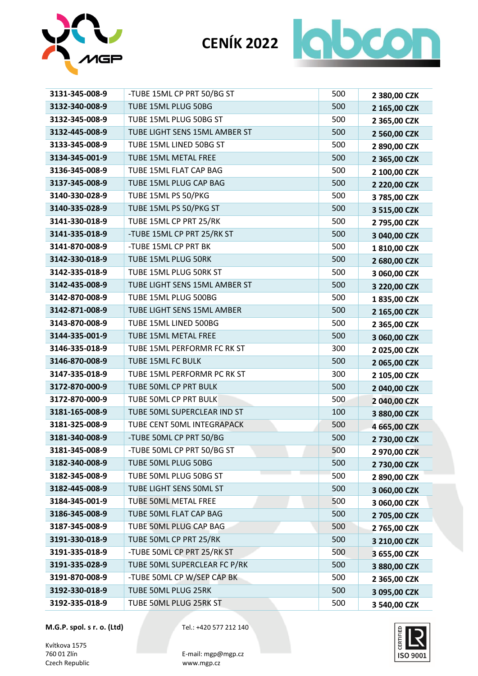



| 3131-345-008-9 | -TUBE 15ML CP PRT 50/BG ST    | 500 | 2 380,00 CZK |
|----------------|-------------------------------|-----|--------------|
| 3132-340-008-9 | TUBE 15ML PLUG 50BG           | 500 | 2 165,00 CZK |
| 3132-345-008-9 | TUBE 15ML PLUG 50BG ST        | 500 | 2 365,00 CZK |
| 3132-445-008-9 | TUBE LIGHT SENS 15ML AMBER ST | 500 | 2 560,00 CZK |
| 3133-345-008-9 | TUBE 15ML LINED 50BG ST       | 500 | 2 890,00 CZK |
| 3134-345-001-9 | TUBE 15ML METAL FREE          | 500 | 2 365,00 CZK |
| 3136-345-008-9 | TUBE 15ML FLAT CAP BAG        | 500 | 2 100,00 CZK |
| 3137-345-008-9 | TUBE 15ML PLUG CAP BAG        | 500 | 2 220,00 CZK |
| 3140-330-028-9 | TUBE 15ML PS 50/PKG           | 500 | 3 785,00 CZK |
| 3140-335-028-9 | TUBE 15ML PS 50/PKG ST        | 500 | 3 515,00 CZK |
| 3141-330-018-9 | TUBE 15ML CP PRT 25/RK        | 500 | 2 795,00 CZK |
| 3141-335-018-9 | -TUBE 15ML CP PRT 25/RK ST    | 500 | 3 040,00 CZK |
| 3141-870-008-9 | -TUBE 15ML CP PRT BK          | 500 | 1810,00 CZK  |
| 3142-330-018-9 | TUBE 15ML PLUG 50RK           | 500 | 2 680,00 CZK |
| 3142-335-018-9 | TUBE 15ML PLUG 50RK ST        | 500 | 3 060,00 CZK |
| 3142-435-008-9 | TUBE LIGHT SENS 15ML AMBER ST | 500 | 3 220,00 CZK |
| 3142-870-008-9 | TUBE 15ML PLUG 500BG          | 500 | 1835,00 CZK  |
| 3142-871-008-9 | TUBE LIGHT SENS 15ML AMBER    | 500 | 2 165,00 CZK |
| 3143-870-008-9 | TUBE 15ML LINED 500BG         | 500 | 2 365,00 CZK |
| 3144-335-001-9 | TUBE 15ML METAL FREE          | 500 | 3 060,00 CZK |
| 3146-335-018-9 | TUBE 15ML PERFORMR FC RK ST   | 300 | 2 025,00 CZK |
| 3146-870-008-9 | TUBE 15ML FC BULK             | 500 | 2 065,00 CZK |
| 3147-335-018-9 | TUBE 15ML PERFORMR PC RK ST   | 300 | 2 105,00 CZK |
| 3172-870-000-9 | TUBE 50ML CP PRT BULK         | 500 | 2 040,00 CZK |
| 3172-870-000-9 | TUBE 50ML CP PRT BULK         | 500 | 2 040,00 CZK |
| 3181-165-008-9 | TUBE 50ML SUPERCLEAR IND ST   | 100 | 3 880,00 CZK |
| 3181-325-008-9 | TUBE CENT 50ML INTEGRAPACK    | 500 | 4 665,00 CZK |
| 3181-340-008-9 | -TUBE 50ML CP PRT 50/BG       | 500 | 2 730,00 CZK |
| 3181-345-008-9 | -TUBE 50ML CP PRT 50/BG ST    | 500 | 2 970,00 CZK |
| 3182-340-008-9 | TUBE 50ML PLUG 50BG           | 500 | 2 730,00 CZK |
| 3182-345-008-9 | TUBE 50ML PLUG 50BG ST        | 500 | 2 890,00 CZK |
| 3182-445-008-9 | TUBE LIGHT SENS 50ML ST       | 500 | 3 060,00 CZK |
| 3184-345-001-9 | TUBE 50ML METAL FREE          | 500 | 3 060,00 CZK |
| 3186-345-008-9 | TUBE 50ML FLAT CAP BAG        | 500 | 2 705,00 CZK |
| 3187-345-008-9 | TUBE 50ML PLUG CAP BAG        | 500 | 2 765,00 CZK |
| 3191-330-018-9 | TUBE 50ML CP PRT 25/RK        | 500 | 3 210,00 CZK |
| 3191-335-018-9 | -TUBE 50ML CP PRT 25/RK ST    | 500 | 3 655,00 CZK |
| 3191-335-028-9 | TUBE 50ML SUPERCLEAR FC P/RK  | 500 | 3 880,00 CZK |
| 3191-870-008-9 | -TUBE 50ML CP W/SEP CAP BK    | 500 | 2 365,00 CZK |
| 3192-330-018-9 | TUBE 50ML PLUG 25RK           | 500 | 3 095,00 CZK |
| 3192-335-018-9 | TUBE 50ML PLUG 25RK ST        | 500 | 3 540,00 CZK |

Kvítkova 1575<br>760 01 Zlín Czech Republic

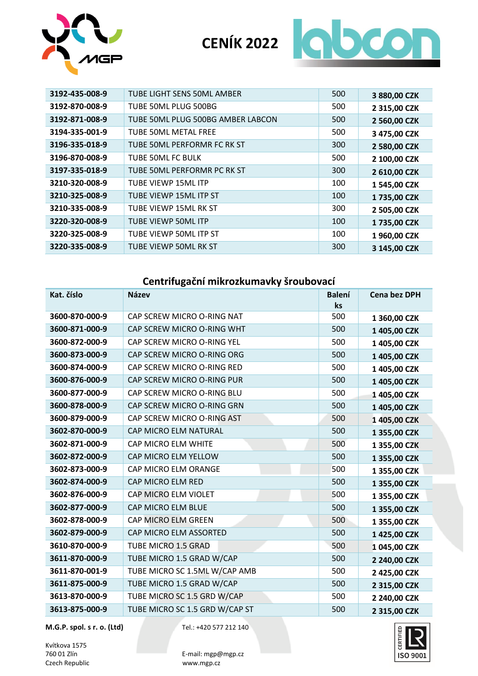



| 3192-435-008-9 | TUBE LIGHT SENS 50ML AMBER        | 500 | 3 880,00 CZK |
|----------------|-----------------------------------|-----|--------------|
| 3192-870-008-9 | TUBE 50ML PLUG 500BG              | 500 | 2 315,00 CZK |
| 3192-871-008-9 | TUBE 50ML PLUG 500BG AMBER LABCON | 500 | 2 560,00 CZK |
| 3194-335-001-9 | TUBE 50ML METAL FREE              | 500 | 3 475,00 CZK |
| 3196-335-018-9 | TUBE 50ML PERFORMR FC RK ST       | 300 | 2 580,00 CZK |
| 3196-870-008-9 | TUBE 50ML FC BULK                 | 500 | 2 100,00 CZK |
| 3197-335-018-9 | TUBE 50ML PERFORMR PC RK ST       | 300 | 2 610,00 CZK |
| 3210-320-008-9 | TUBE VIEWP 15ML ITP               | 100 | 1 545,00 CZK |
| 3210-325-008-9 | TUBE VIEWP 15ML ITP ST            | 100 | 1 735,00 CZK |
| 3210-335-008-9 | TUBE VIEWP 15ML RK ST             | 300 | 2 505,00 CZK |
| 3220-320-008-9 | TUBE VIEWP 50ML ITP               | 100 | 1 735,00 CZK |
| 3220-325-008-9 | TUBE VIEWP 50ML ITP ST            | 100 | 1 960,00 CZK |
| 3220-335-008-9 | TUBE VIEWP 50ML RK ST             | 300 | 3 145,00 CZK |

## **Centrifugační mikrozkumavky šroubovací**

| Kat. číslo     | <b>Název</b>                   | <b>Balení</b><br>ks | <b>Cena bez DPH</b> |
|----------------|--------------------------------|---------------------|---------------------|
| 3600-870-000-9 | CAP SCREW MICRO O-RING NAT     | 500                 | 1 360,00 CZK        |
| 3600-871-000-9 | CAP SCREW MICRO O-RING WHT     | 500                 | 1 405,00 CZK        |
| 3600-872-000-9 | CAP SCREW MICRO O-RING YEL     | 500                 | 1 405,00 CZK        |
| 3600-873-000-9 | CAP SCREW MICRO O-RING ORG     | 500                 | 1 405,00 CZK        |
| 3600-874-000-9 | CAP SCREW MICRO O-RING RED     | 500                 | 1 405,00 CZK        |
| 3600-876-000-9 | CAP SCREW MICRO O-RING PUR     | 500                 | 1 405,00 CZK        |
| 3600-877-000-9 | CAP SCREW MICRO O-RING BLU     | 500                 | 1 405,00 CZK        |
| 3600-878-000-9 | CAP SCREW MICRO O-RING GRN     | 500                 | 1 405,00 CZK        |
| 3600-879-000-9 | CAP SCREW MICRO O-RING AST     | 500                 | 1 405,00 CZK        |
| 3602-870-000-9 | CAP MICRO ELM NATURAL          | 500                 | 1 355,00 CZK        |
| 3602-871-000-9 | CAP MICRO ELM WHITE            | 500                 | 1 355,00 CZK        |
| 3602-872-000-9 | CAP MICRO ELM YELLOW           | 500                 | 1 355,00 CZK        |
| 3602-873-000-9 | CAP MICRO ELM ORANGE           | 500                 | 1 355,00 CZK        |
| 3602-874-000-9 | CAP MICRO ELM RED              | 500                 | 1 355,00 CZK        |
| 3602-876-000-9 | CAP MICRO ELM VIOLET           | 500                 | 1 355,00 CZK        |
| 3602-877-000-9 | CAP MICRO ELM BLUE             | 500                 | 1 355,00 CZK        |
| 3602-878-000-9 | CAP MICRO ELM GREEN            | 500                 | 1 355,00 CZK        |
| 3602-879-000-9 | CAP MICRO ELM ASSORTED         | 500                 | 1 425,00 CZK        |
| 3610-870-000-9 | TUBE MICRO 1.5 GRAD            | 500                 | 1 045,00 CZK        |
| 3611-870-000-9 | TUBE MICRO 1.5 GRAD W/CAP      | 500                 | 2 240,00 CZK        |
| 3611-870-001-9 | TUBE MICRO SC 1.5ML W/CAP AMB  | 500                 | 2 425,00 CZK        |
| 3611-875-000-9 | TUBE MICRO 1.5 GRAD W/CAP      | 500                 | 2 315,00 CZK        |
| 3613-870-000-9 | TUBE MICRO SC 1.5 GRD W/CAP    | 500                 | 2 240,00 CZK        |
| 3613-875-000-9 | TUBE MICRO SC 1.5 GRD W/CAP ST | 500                 | 2 315,00 CZK        |

**M.G.P. spol. s r. o. (Ltd)** Tel.: +420 577 212 140

Kvítkova 1575<br>760 01 Zlín Czech Republic

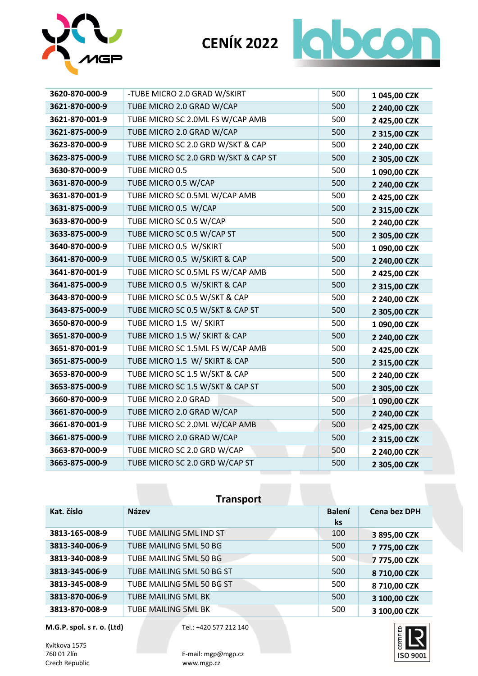



| 3620-870-000-9 | -TUBE MICRO 2.0 GRAD W/SKIRT         | 500 | 1 045,00 CZK |
|----------------|--------------------------------------|-----|--------------|
| 3621-870-000-9 | TUBE MICRO 2.0 GRAD W/CAP            | 500 | 2 240,00 CZK |
| 3621-870-001-9 | TUBE MICRO SC 2.0ML FS W/CAP AMB     | 500 | 2 425,00 CZK |
| 3621-875-000-9 | TUBE MICRO 2.0 GRAD W/CAP            | 500 | 2 315,00 CZK |
| 3623-870-000-9 | TUBE MICRO SC 2.0 GRD W/SKT & CAP    | 500 | 2 240,00 CZK |
| 3623-875-000-9 | TUBE MICRO SC 2.0 GRD W/SKT & CAP ST | 500 | 2 305,00 CZK |
| 3630-870-000-9 | TUBE MICRO 0.5                       | 500 | 1 090,00 CZK |
| 3631-870-000-9 | TUBE MICRO 0.5 W/CAP                 | 500 | 2 240,00 CZK |
| 3631-870-001-9 | TUBE MICRO SC 0.5ML W/CAP AMB        | 500 | 2 425,00 CZK |
| 3631-875-000-9 | TUBE MICRO 0.5 W/CAP                 | 500 | 2 315,00 CZK |
| 3633-870-000-9 | TUBE MICRO SC 0.5 W/CAP              | 500 | 2 240,00 CZK |
| 3633-875-000-9 | TUBE MICRO SC 0.5 W/CAP ST           | 500 | 2 305,00 CZK |
| 3640-870-000-9 | TUBE MICRO 0.5 W/SKIRT               | 500 | 1 090,00 CZK |
| 3641-870-000-9 | TUBE MICRO 0.5 W/SKIRT & CAP         | 500 | 2 240,00 CZK |
| 3641-870-001-9 | TUBE MICRO SC 0.5ML FS W/CAP AMB     | 500 | 2 425,00 CZK |
| 3641-875-000-9 | TUBE MICRO 0.5 W/SKIRT & CAP         | 500 | 2 315,00 CZK |
| 3643-870-000-9 | TUBE MICRO SC 0.5 W/SKT & CAP        | 500 | 2 240,00 CZK |
| 3643-875-000-9 | TUBE MICRO SC 0.5 W/SKT & CAP ST     | 500 | 2 305,00 CZK |
| 3650-870-000-9 | TUBE MICRO 1.5 W/ SKIRT              | 500 | 1 090,00 CZK |
| 3651-870-000-9 | TUBE MICRO 1.5 W/ SKIRT & CAP        | 500 | 2 240,00 CZK |
| 3651-870-001-9 | TUBE MICRO SC 1.5ML FS W/CAP AMB     | 500 | 2 425,00 CZK |
| 3651-875-000-9 | TUBE MICRO 1.5 W/ SKIRT & CAP        | 500 | 2 315,00 CZK |
| 3653-870-000-9 | TUBE MICRO SC 1.5 W/SKT & CAP        | 500 | 2 240,00 CZK |
| 3653-875-000-9 | TUBE MICRO SC 1.5 W/SKT & CAP ST     | 500 | 2 305,00 CZK |
| 3660-870-000-9 | TUBE MICRO 2.0 GRAD                  | 500 | 1 090,00 CZK |
| 3661-870-000-9 | TUBE MICRO 2.0 GRAD W/CAP            | 500 | 2 240,00 CZK |
| 3661-870-001-9 | TUBE MICRO SC 2.0ML W/CAP AMB        | 500 | 2 425,00 CZK |
| 3661-875-000-9 | TUBE MICRO 2.0 GRAD W/CAP            | 500 | 2 315,00 CZK |
| 3663-870-000-9 | TUBE MICRO SC 2.0 GRD W/CAP          | 500 | 2 240,00 CZK |
| 3663-875-000-9 | TUBE MICRO SC 2.0 GRD W/CAP ST       | 500 | 2 305,00 CZK |

| <b>Transport</b> |                            |                     |                     |
|------------------|----------------------------|---------------------|---------------------|
| Kat. číslo       | <b>Název</b>               | <b>Balení</b><br>ks | <b>Cena bez DPH</b> |
| 3813-165-008-9   | TUBE MAILING 5ML IND ST    | 100                 | 3 895,00 CZK        |
| 3813-340-006-9   | TUBE MAILING 5ML 50 BG     | 500                 | 7 775,00 CZK        |
| 3813-340-008-9   | TUBE MAILING 5ML 50 BG     | 500                 | 7775,00 CZK         |
| 3813-345-006-9   | TUBE MAILING 5ML 50 BG ST  | 500                 | 8 710,00 CZK        |
| 3813-345-008-9   | TUBE MAILING 5ML 50 BG ST  | 500                 | 8 710,00 CZK        |
| 3813-870-006-9   | <b>TUBE MAILING 5ML BK</b> | 500                 | 3 100,00 CZK        |
| 3813-870-008-9   | <b>TUBE MAILING 5ML BK</b> | 500                 | 3 100,00 CZK        |

Kvítkova 1575<br>760 01 Zlín Czech Republic

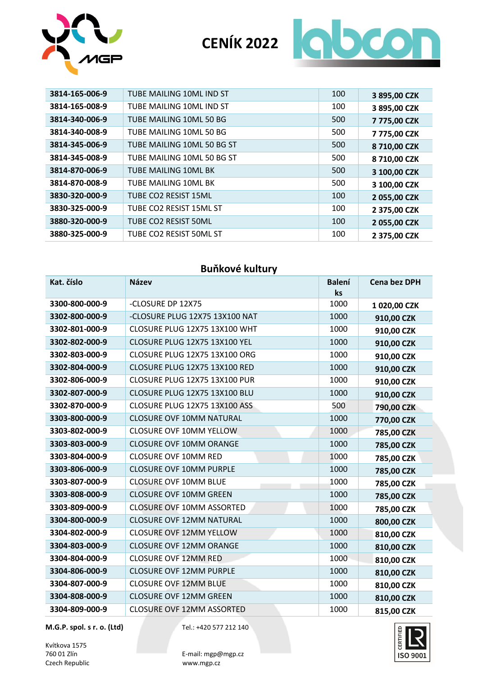



| 3814-165-006-9 | TUBE MAILING 10ML IND ST   | 100 | 3 895,00 CZK |
|----------------|----------------------------|-----|--------------|
| 3814-165-008-9 | TUBE MAILING 10ML IND ST   | 100 | 3 895,00 CZK |
| 3814-340-006-9 | TUBE MAILING 10ML 50 BG    | 500 | 7 775,00 CZK |
| 3814-340-008-9 | TUBE MAILING 10ML 50 BG    | 500 | 7775,00 CZK  |
| 3814-345-006-9 | TUBE MAILING 10ML 50 BG ST | 500 | 8 710,00 CZK |
| 3814-345-008-9 | TUBE MAILING 10ML 50 BG ST | 500 | 8 710,00 CZK |
| 3814-870-006-9 | TUBE MAILING 10ML BK       | 500 | 3 100,00 CZK |
| 3814-870-008-9 | TUBE MAILING 10ML BK       | 500 | 3 100,00 CZK |
| 3830-320-000-9 | TUBE CO2 RESIST 15ML       | 100 | 2 055,00 CZK |
| 3830-325-000-9 | TUBE CO2 RESIST 15ML ST    | 100 | 2 375,00 CZK |
| 3880-320-000-9 | TUBE CO2 RESIST 50ML       | 100 | 2 055,00 CZK |
| 3880-325-000-9 | TUBE CO2 RESIST 50ML ST    | 100 | 2 375,00 CZK |

### **Buňkové kultury**

| Kat. číslo     | <b>Název</b>                     | <b>Balení</b><br>ks | <b>Cena bez DPH</b> |
|----------------|----------------------------------|---------------------|---------------------|
| 3300-800-000-9 | -CLOSURE DP 12X75                | 1000                | 1 020,00 CZK        |
| 3302-800-000-9 | -CLOSURE PLUG 12X75 13X100 NAT   | 1000                | 910,00 CZK          |
| 3302-801-000-9 | CLOSURE PLUG 12X75 13X100 WHT    | 1000                | 910,00 CZK          |
| 3302-802-000-9 | CLOSURE PLUG 12X75 13X100 YEL    | 1000                | 910,00 CZK          |
| 3302-803-000-9 | CLOSURE PLUG 12X75 13X100 ORG    | 1000                | 910,00 CZK          |
| 3302-804-000-9 | CLOSURE PLUG 12X75 13X100 RED    | 1000                | 910,00 CZK          |
| 3302-806-000-9 | CLOSURE PLUG 12X75 13X100 PUR    | 1000                | 910,00 CZK          |
| 3302-807-000-9 | CLOSURE PLUG 12X75 13X100 BLU    | 1000                | 910,00 CZK          |
| 3302-870-000-9 | CLOSURE PLUG 12X75 13X100 ASS    | 500                 | 790,00 CZK          |
| 3303-800-000-9 | <b>CLOSURE OVF 10MM NATURAL</b>  | 1000                | 770,00 CZK          |
| 3303-802-000-9 | <b>CLOSURE OVF 10MM YELLOW</b>   | 1000                | 785,00 CZK          |
| 3303-803-000-9 | <b>CLOSURE OVF 10MM ORANGE</b>   | 1000                | 785,00 CZK          |
| 3303-804-000-9 | <b>CLOSURE OVF 10MM RED</b>      | 1000                | 785,00 CZK          |
| 3303-806-000-9 | <b>CLOSURE OVF 10MM PURPLE</b>   | 1000                | 785,00 CZK          |
| 3303-807-000-9 | <b>CLOSURE OVF 10MM BLUE</b>     | 1000                | 785,00 CZK          |
| 3303-808-000-9 | <b>CLOSURE OVF 10MM GREEN</b>    | 1000                | 785,00 CZK          |
| 3303-809-000-9 | <b>CLOSURE OVF 10MM ASSORTED</b> | 1000                | 785,00 CZK          |
| 3304-800-000-9 | <b>CLOSURE OVF 12MM NATURAL</b>  | 1000                | 800,00 CZK          |
| 3304-802-000-9 | <b>CLOSURE OVF 12MM YELLOW</b>   | 1000                | 810,00 CZK          |
| 3304-803-000-9 | <b>CLOSURE OVF 12MM ORANGE</b>   | 1000                | 810,00 CZK          |
| 3304-804-000-9 | <b>CLOSURE OVF 12MM RED</b>      | 1000                | 810,00 CZK          |
| 3304-806-000-9 | <b>CLOSURE OVF 12MM PURPLE</b>   | 1000                | 810,00 CZK          |
| 3304-807-000-9 | <b>CLOSURE OVF 12MM BLUE</b>     | 1000                | 810,00 CZK          |
| 3304-808-000-9 | <b>CLOSURE OVF 12MM GREEN</b>    | 1000                | 810,00 CZK          |
| 3304-809-000-9 | <b>CLOSURE OVF 12MM ASSORTED</b> | 1000                | 815,00 CZK          |

**M.G.P. spol. s r. o. (Ltd)** Tel.: +420 577 212 140

Kvítkova 1575<br>760 01 Zlín Czech Republic

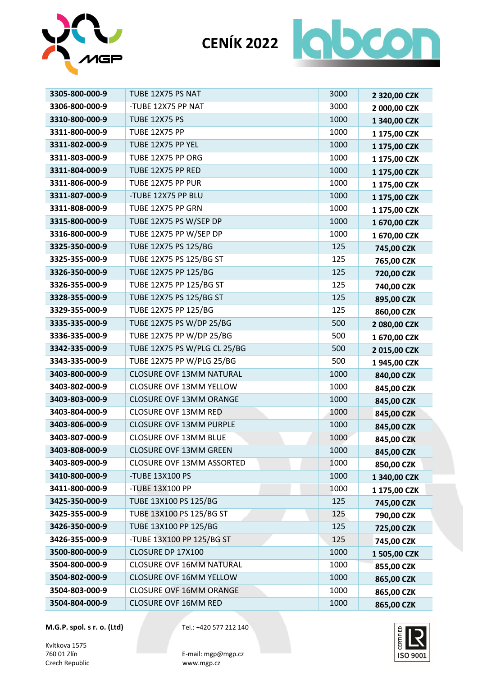



| 3305-800-000-9 | TUBE 12X75 PS NAT               | 3000 | 2 320,00 CZK |
|----------------|---------------------------------|------|--------------|
| 3306-800-000-9 | -TUBE 12X75 PP NAT              | 3000 | 2 000,00 CZK |
| 3310-800-000-9 | <b>TUBE 12X75 PS</b>            | 1000 | 1 340,00 CZK |
| 3311-800-000-9 | <b>TUBE 12X75 PP</b>            | 1000 | 1 175,00 CZK |
| 3311-802-000-9 | TUBE 12X75 PP YEL               | 1000 | 1 175,00 CZK |
| 3311-803-000-9 | TUBE 12X75 PP ORG               | 1000 | 1 175,00 CZK |
| 3311-804-000-9 | TUBE 12X75 PP RED               | 1000 | 1 175,00 CZK |
| 3311-806-000-9 | TUBE 12X75 PP PUR               | 1000 | 1 175,00 CZK |
| 3311-807-000-9 | -TUBE 12X75 PP BLU              | 1000 | 1 175,00 CZK |
| 3311-808-000-9 | TUBE 12X75 PP GRN               | 1000 | 1 175,00 CZK |
| 3315-800-000-9 | TUBE 12X75 PS W/SEP DP          | 1000 | 1 670,00 CZK |
| 3316-800-000-9 | TUBE 12X75 PP W/SEP DP          | 1000 | 1 670,00 CZK |
| 3325-350-000-9 | TUBE 12X75 PS 125/BG            | 125  | 745,00 CZK   |
| 3325-355-000-9 | TUBE 12X75 PS 125/BG ST         | 125  | 765,00 CZK   |
| 3326-350-000-9 | TUBE 12X75 PP 125/BG            | 125  | 720,00 CZK   |
| 3326-355-000-9 | TUBE 12X75 PP 125/BG ST         | 125  | 740,00 CZK   |
| 3328-355-000-9 | TUBE 12X75 PS 125/BG ST         | 125  | 895,00 CZK   |
| 3329-355-000-9 | TUBE 12X75 PP 125/BG            | 125  | 860,00 CZK   |
| 3335-335-000-9 | TUBE 12X75 PS W/DP 25/BG        | 500  | 2 080,00 CZK |
| 3336-335-000-9 | TUBE 12X75 PP W/DP 25/BG        | 500  | 1 670,00 CZK |
| 3342-335-000-9 | TUBE 12X75 PS W/PLG CL 25/BG    | 500  | 2015,00 CZK  |
| 3343-335-000-9 | TUBE 12X75 PP W/PLG 25/BG       | 500  | 1945,00 CZK  |
| 3403-800-000-9 | <b>CLOSURE OVF 13MM NATURAL</b> | 1000 | 840,00 CZK   |
| 3403-802-000-9 | <b>CLOSURE OVF 13MM YELLOW</b>  | 1000 | 845,00 CZK   |
| 3403-803-000-9 | <b>CLOSURE OVF 13MM ORANGE</b>  | 1000 | 845,00 CZK   |
| 3403-804-000-9 | <b>CLOSURE OVF 13MM RED</b>     | 1000 | 845,00 CZK   |
| 3403-806-000-9 | <b>CLOSURE OVF 13MM PURPLE</b>  | 1000 | 845,00 CZK   |
| 3403-807-000-9 | <b>CLOSURE OVF 13MM BLUE</b>    | 1000 | 845,00 CZK   |
| 3403-808-000-9 | CLOSURE OVF 13MM GREEN          | 1000 | 845,00 CZK   |
| 3403-809-000-9 | CLOSURE OVF 13MM ASSORTED       | 1000 | 850,00 CZK   |
| 3410-800-000-9 | -TUBE 13X100 PS                 | 1000 | 1 340,00 CZK |
| 3411-800-000-9 | -TUBE 13X100 PP                 | 1000 | 1 175,00 CZK |
| 3425-350-000-9 | TUBE 13X100 PS 125/BG           | 125  | 745,00 CZK   |
| 3425-355-000-9 | TUBE 13X100 PS 125/BG ST        | 125  | 790,00 CZK   |
| 3426-350-000-9 | TUBE 13X100 PP 125/BG           | 125  | 725,00 CZK   |
| 3426-355-000-9 | -TUBE 13X100 PP 125/BG ST       | 125  | 745,00 CZK   |
| 3500-800-000-9 | CLOSURE DP 17X100               | 1000 | 1 505,00 CZK |
| 3504-800-000-9 | <b>CLOSURE OVF 16MM NATURAL</b> | 1000 | 855,00 CZK   |
| 3504-802-000-9 | <b>CLOSURE OVF 16MM YELLOW</b>  | 1000 | 865,00 CZK   |
| 3504-803-000-9 | <b>CLOSURE OVF 16MM ORANGE</b>  | 1000 | 865,00 CZK   |
| 3504-804-000-9 | <b>CLOSURE OVF 16MM RED</b>     | 1000 | 865,00 CZK   |

Kvítkova 1575<br>760 01 Zlín Czech Republic

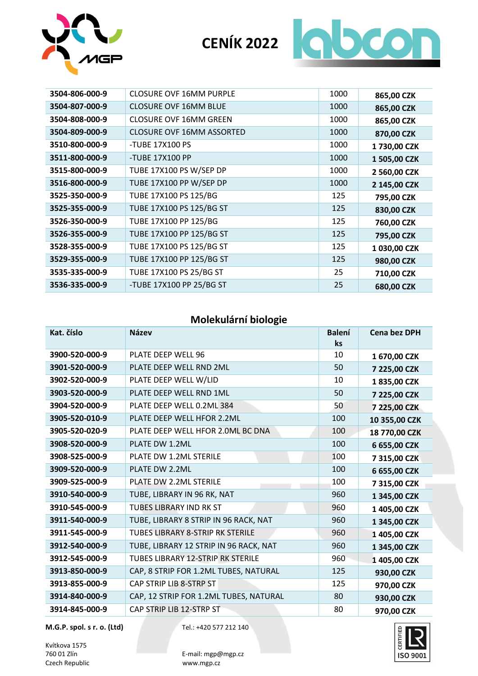



| <b>CLOSURE OVF 16MM PURPLE</b>   | 1000 | 865,00 CZK   |
|----------------------------------|------|--------------|
| <b>CLOSURE OVF 16MM BLUE</b>     | 1000 | 865,00 CZK   |
| <b>CLOSURE OVF 16MM GREEN</b>    | 1000 | 865,00 CZK   |
| <b>CLOSURE OVF 16MM ASSORTED</b> | 1000 | 870,00 CZK   |
| -TUBE 17X100 PS                  | 1000 | 1730,00 CZK  |
| -TUBE 17X100 PP                  | 1000 | 1 505,00 CZK |
| TUBE 17X100 PS W/SEP DP          | 1000 | 2 560,00 CZK |
| TUBE 17X100 PP W/SEP DP          | 1000 | 2 145,00 CZK |
| TUBE 17X100 PS 125/BG            | 125  | 795,00 CZK   |
| TUBE 17X100 PS 125/BG ST         | 125  | 830,00 CZK   |
| TUBE 17X100 PP 125/BG            | 125  | 760,00 CZK   |
| TUBE 17X100 PP 125/BG ST         | 125  | 795,00 CZK   |
| TUBE 17X100 PS 125/BG ST         | 125  | 1 030,00 CZK |
| TUBE 17X100 PP 125/BG ST         | 125  | 980,00 CZK   |
| TUBE 17X100 PS 25/BG ST          | 25   | 710,00 CZK   |
| -TUBE 17X100 PP 25/BG ST         | 25   | 680,00 CZK   |
|                                  |      |              |

#### **Molekulární biologie**

| Kat. číslo     | <b>Název</b>                             | <b>Balení</b><br>ks | <b>Cena bez DPH</b> |
|----------------|------------------------------------------|---------------------|---------------------|
| 3900-520-000-9 | PLATE DEEP WELL 96                       | 10                  | 1 670,00 CZK        |
| 3901-520-000-9 | PLATE DEEP WELL RND 2ML                  | 50                  | 7 225,00 CZK        |
| 3902-520-000-9 | PLATE DEEP WELL W/LID                    | 10                  | 1835,00 CZK         |
| 3903-520-000-9 | PLATE DEEP WELL RND 1ML                  | 50                  | 7 225,00 CZK        |
| 3904-520-000-9 | PLATE DEEP WELL 0.2ML 384                | 50                  | 7 225,00 CZK        |
| 3905-520-010-9 | PLATE DEEP WELL HFOR 2.2ML               | 100                 | 10 355,00 CZK       |
| 3905-520-020-9 | PLATE DEEP WELL HFOR 2.0ML BC DNA        | 100                 | 18 770,00 CZK       |
| 3908-520-000-9 | PLATE DW 1.2ML                           | 100                 | 6 655,00 CZK        |
| 3908-525-000-9 | PLATE DW 1.2ML STERILE                   | 100                 | 7 315,00 CZK        |
| 3909-520-000-9 | PLATE DW 2.2ML                           | 100                 | 6 655,00 CZK        |
| 3909-525-000-9 | PLATE DW 2.2ML STERILE                   | 100                 | 7 315,00 CZK        |
| 3910-540-000-9 | TUBE, LIBRARY IN 96 RK, NAT              | 960                 | 1 345,00 CZK        |
| 3910-545-000-9 | <b>TUBES LIBRARY IND RK ST</b>           | 960                 | 1 405,00 CZK        |
| 3911-540-000-9 | TUBE, LIBRARY 8 STRIP IN 96 RACK, NAT    | 960                 | 1 345,00 CZK        |
| 3911-545-000-9 | <b>TUBES LIBRARY 8-STRIP RK STERILE</b>  | 960                 | 1 405,00 CZK        |
| 3912-540-000-9 | TUBE, LIBRARY 12 STRIP IN 96 RACK, NAT   | 960                 | 1 345,00 CZK        |
| 3912-545-000-9 | <b>TUBES LIBRARY 12-STRIP RK STERILE</b> | 960                 | 1 405,00 CZK        |
| 3913-850-000-9 | CAP, 8 STRIP FOR 1.2ML TUBES, NATURAL    | 125                 | 930,00 CZK          |
| 3913-855-000-9 | CAP STRIP LIB 8-STRP ST                  | 125                 | 970,00 CZK          |
| 3914-840-000-9 | CAP, 12 STRIP FOR 1.2ML TUBES, NATURAL   | 80                  | 930,00 CZK          |
| 3914-845-000-9 | CAP STRIP LIB 12-STRP ST                 | 80                  | 970,00 CZK          |

**M.G.P. spol. s r. o. (Ltd)** Tel.: +420 577 212 140

Kvítkova 1575<br>760 01 Zlín Czech Republic

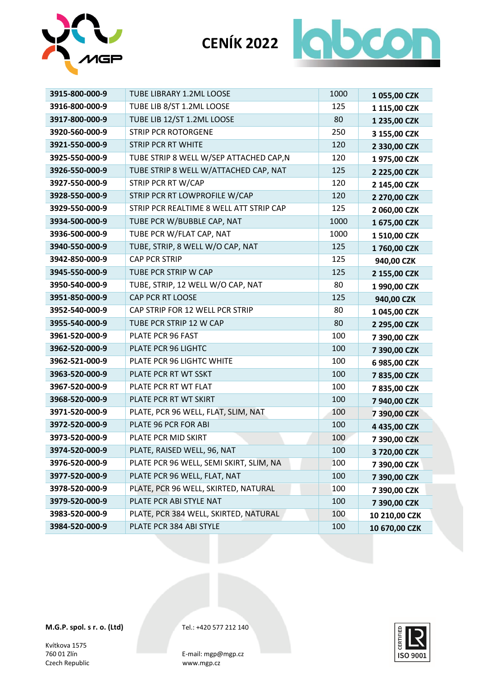



| 3915-800-000-9 | <b>TUBE LIBRARY 1.2ML LOOSE</b>         | 1000 | 1055,00 CZK   |
|----------------|-----------------------------------------|------|---------------|
| 3916-800-000-9 | TUBE LIB 8/ST 1.2ML LOOSE               | 125  | 1 115,00 CZK  |
| 3917-800-000-9 | TUBE LIB 12/ST 1.2ML LOOSE              | 80   | 1 235,00 CZK  |
| 3920-560-000-9 | <b>STRIP PCR ROTORGENE</b>              | 250  | 3 155,00 CZK  |
| 3921-550-000-9 | <b>STRIP PCR RT WHITE</b>               | 120  | 2 330,00 CZK  |
| 3925-550-000-9 | TUBE STRIP 8 WELL W/SEP ATTACHED CAP,N  | 120  | 1975,00 CZK   |
| 3926-550-000-9 | TUBE STRIP 8 WELL W/ATTACHED CAP, NAT   | 125  | 2 225,00 CZK  |
| 3927-550-000-9 | STRIP PCR RT W/CAP                      | 120  | 2 145,00 CZK  |
| 3928-550-000-9 | STRIP PCR RT LOWPROFILE W/CAP           | 120  | 2 270,00 CZK  |
| 3929-550-000-9 | STRIP PCR REALTIME 8 WELL ATT STRIP CAP | 125  | 2 060,00 CZK  |
| 3934-500-000-9 | TUBE PCR W/BUBBLE CAP, NAT              | 1000 | 1 675,00 CZK  |
| 3936-500-000-9 | TUBE PCR W/FLAT CAP, NAT                | 1000 | 1 510,00 CZK  |
| 3940-550-000-9 | TUBE, STRIP, 8 WELL W/O CAP, NAT        | 125  | 1760,00 CZK   |
| 3942-850-000-9 | <b>CAP PCR STRIP</b>                    | 125  | 940,00 CZK    |
| 3945-550-000-9 | TUBE PCR STRIP W CAP                    | 125  | 2 155,00 CZK  |
| 3950-540-000-9 | TUBE, STRIP, 12 WELL W/O CAP, NAT       | 80   | 1 990,00 CZK  |
| 3951-850-000-9 | CAP PCR RT LOOSE                        | 125  | 940,00 CZK    |
| 3952-540-000-9 | CAP STRIP FOR 12 WELL PCR STRIP         | 80   | 1 045,00 CZK  |
| 3955-540-000-9 | TUBE PCR STRIP 12 W CAP                 | 80   | 2 295,00 CZK  |
| 3961-520-000-9 | PLATE PCR 96 FAST                       | 100  | 7 390,00 CZK  |
| 3962-520-000-9 | PLATE PCR 96 LIGHTC                     | 100  | 7 390,00 CZK  |
| 3962-521-000-9 | PLATE PCR 96 LIGHTC WHITE               | 100  | 6 985,00 CZK  |
| 3963-520-000-9 | PLATE PCR RT WT SSKT                    | 100  | 7835,00 CZK   |
| 3967-520-000-9 | PLATE PCR RT WT FLAT                    | 100  | 7835,00 CZK   |
| 3968-520-000-9 | PLATE PCR RT WT SKIRT                   | 100  | 7 940,00 CZK  |
| 3971-520-000-9 | PLATE, PCR 96 WELL, FLAT, SLIM, NAT     | 100  | 7 390,00 CZK  |
| 3972-520-000-9 | PLATE 96 PCR FOR ABI                    | 100  | 4 435,00 CZK  |
| 3973-520-000-9 | PLATE PCR MID SKIRT                     | 100  | 7 390,00 CZK  |
| 3974-520-000-9 | PLATE, RAISED WELL, 96, NAT             | 100  | 3 720,00 CZK  |
| 3976-520-000-9 | PLATE PCR 96 WELL, SEMI SKIRT, SLIM, NA | 100  | 7 390,00 CZK  |
| 3977-520-000-9 | PLATE PCR 96 WELL, FLAT, NAT            | 100  | 7 390,00 CZK  |
| 3978-520-000-9 | PLATE, PCR 96 WELL, SKIRTED, NATURAL    | 100  | 7 390,00 CZK  |
| 3979-520-000-9 | PLATE PCR ABI STYLE NAT                 | 100  | 7 390,00 CZK  |
| 3983-520-000-9 | PLATE, PCR 384 WELL, SKIRTED, NATURAL   | 100  | 10 210,00 CZK |
| 3984-520-000-9 | PLATE PCR 384 ABI STYLE                 | 100  | 10 670,00 CZK |

Kvítkova 1575<br>760 01 Zlín Czech Republic

CERTIFIE ISO 9001